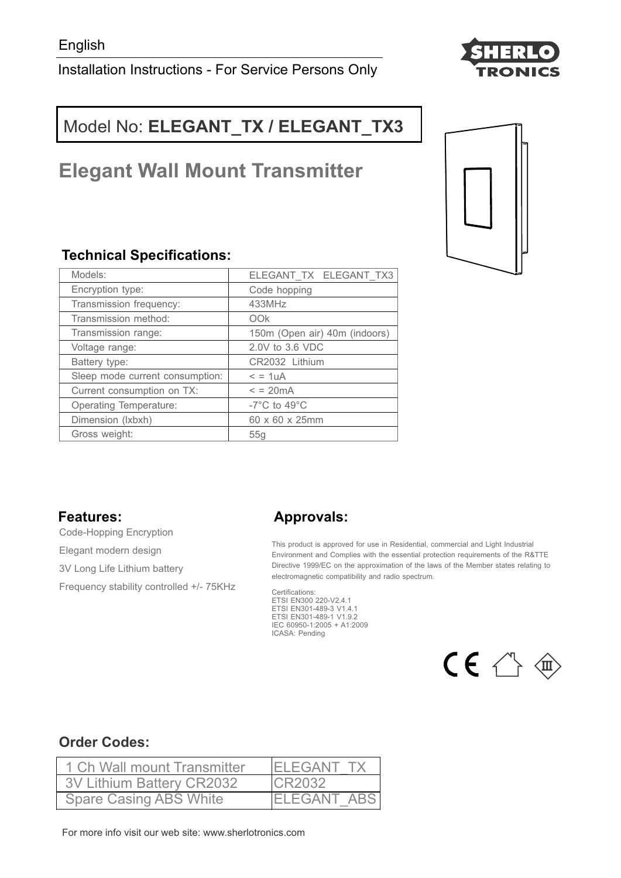Installation Instructions - For Service Persons Only



# Model No: **ELEGANT\_TX / ELEGANT\_TX3**

# **Elegant Wall Mount Transmitter**

# **Technical Specifications:**

| Models:                         | ELEGANT TX ELEGANT TX3                             |  |
|---------------------------------|----------------------------------------------------|--|
| Encryption type:                | Code hopping                                       |  |
| Transmission frequency:         | 433MHz                                             |  |
| Transmission method:            | OOk                                                |  |
| Transmission range:             | 150m (Open air) 40m (indoors)                      |  |
| Voltage range:                  | 2.0V to 3.6 VDC                                    |  |
| Battery type:                   | CR2032 Lithium                                     |  |
| Sleep mode current consumption: | $= 1uA$                                            |  |
| Current consumption on TX:      | $\epsilon$ = 20 $\text{mA}$                        |  |
| <b>Operating Temperature:</b>   | -7 $\mathrm{^{\circ}C}$ to 49 $\mathrm{^{\circ}C}$ |  |
| Dimension (Ixbxh)               | 60 x 60 x 25mm                                     |  |
| Gross weight:                   | 55q                                                |  |

### **Features:**

Code-Hopping Encryption Elegant modern design 3V Long Life Lithium battery Frequency stability controlled +/- 75KHz

# **Approvals:**

This product is approved for use in Residential, commercial and Light Industrial Environment and Complies with the essential protection requirements of the R&TTE Directive 1999/EC on the approximation of the laws of the Member states relating to electromagnetic compatibility and radio spectrum.

Certifications: ETSI EN300 220-V2.4.1 ETSI EN301-489-3 V1.4.1 ETSI EN301-489-1 V1.9.2 IEC 60950-1:2005 + A1:2009 ICASA: Pending



## **Order Codes:**

| 1 Ch Wall mount Transmitter   | <b>IELEGANT TX</b> |
|-------------------------------|--------------------|
| 3V Lithium Battery CR2032     | <b>CR2032</b>      |
| <b>Spare Casing ABS White</b> | <b>ELEGANT ABS</b> |

For more info visit our web site: www.sherlotronics.com